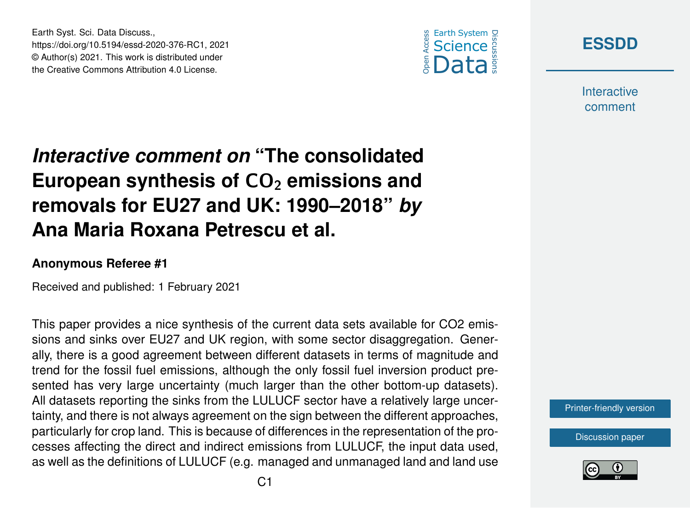



**Interactive** comment

## *Interactive comment on* **"The consolidated** European synthesis of CO<sub>2</sub> emissions and **removals for EU27 and UK: 1990–2018"** *by* **Ana Maria Roxana Petrescu et al.**

## **Anonymous Referee #1**

Earth Syst. Sci. Data Discuss.,

https://doi.org/10.5194/essd-2020-376-RC1, 2021 © Author(s) 2021. This work is distributed under the Creative Commons Attribution 4.0 License.

Received and published: 1 February 2021

This paper provides a nice synthesis of the current data sets available for CO2 emissions and sinks over EU27 and UK region, with some sector disaggregation. Generally, there is a good agreement between different datasets in terms of magnitude and trend for the fossil fuel emissions, although the only fossil fuel inversion product presented has very large uncertainty (much larger than the other bottom-up datasets). All datasets reporting the sinks from the LULUCF sector have a relatively large uncertainty, and there is not always agreement on the sign between the different approaches, particularly for crop land. This is because of differences in the representation of the processes affecting the direct and indirect emissions from LULUCF, the input data used, as well as the definitions of LULUCF (e.g. managed and unmanaged land and land use

[Printer-friendly version](https://essd.copernicus.org/preprints/essd-2020-376/essd-2020-376-RC1-print.pdf)

[Discussion paper](https://essd.copernicus.org/preprints/essd-2020-376)

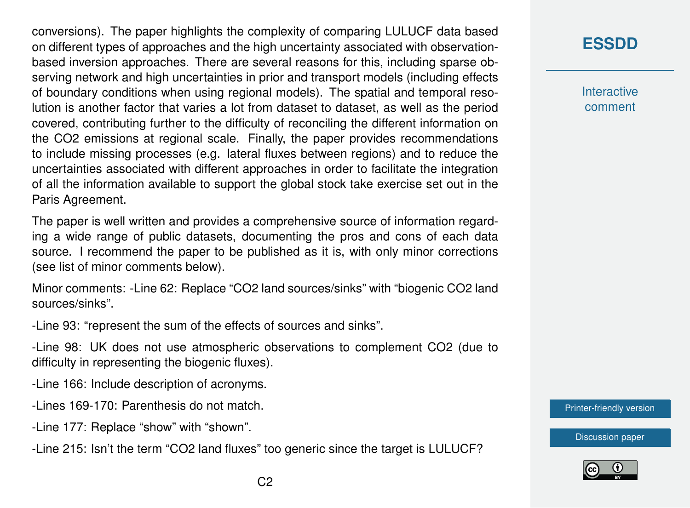conversions). The paper highlights the complexity of comparing LULUCF data based on different types of approaches and the high uncertainty associated with observationbased inversion approaches. There are several reasons for this, including sparse observing network and high uncertainties in prior and transport models (including effects of boundary conditions when using regional models). The spatial and temporal resolution is another factor that varies a lot from dataset to dataset, as well as the period covered, contributing further to the difficulty of reconciling the different information on the CO2 emissions at regional scale. Finally, the paper provides recommendations to include missing processes (e.g. lateral fluxes between regions) and to reduce the uncertainties associated with different approaches in order to facilitate the integration of all the information available to support the global stock take exercise set out in the Paris Agreement.

The paper is well written and provides a comprehensive source of information regarding a wide range of public datasets, documenting the pros and cons of each data source. I recommend the paper to be published as it is, with only minor corrections (see list of minor comments below).

Minor comments: -Line 62: Replace "CO2 land sources/sinks" with "biogenic CO2 land sources/sinks".

-Line 93: "represent the sum of the effects of sources and sinks".

-Line 98: UK does not use atmospheric observations to complement CO2 (due to difficulty in representing the biogenic fluxes).

-Line 166: Include description of acronyms.

-Lines 169-170: Parenthesis do not match.

-Line 177: Replace "show" with "shown".

-Line 215: Isn't the term "CO2 land fluxes" too generic since the target is LULUCF?

## **[ESSDD](https://essd.copernicus.org/preprints/)**

**Interactive** comment

[Printer-friendly version](https://essd.copernicus.org/preprints/essd-2020-376/essd-2020-376-RC1-print.pdf)

[Discussion paper](https://essd.copernicus.org/preprints/essd-2020-376)